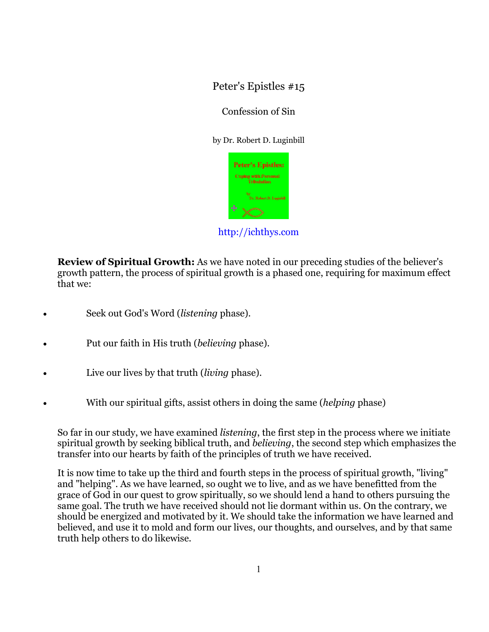Peter's Epistles #15

## Confession of Sin

by Dr. Robert D. Luginbill



http://ichthys.com

**Review of Spiritual Growth:** As we have noted in our preceding studies of the believer's growth pattern, the process of spiritual growth is a phased one, requiring for maximum effect that we:

- Seek out God's Word (*listening* phase).
- Put our faith in His truth (*believing* phase).
- Live our lives by that truth (*living* phase).
- With our spiritual gifts, assist others in doing the same (*helping* phase)

So far in our study, we have examined *listening*, the first step in the process where we initiate spiritual growth by seeking biblical truth, and *believing*, the second step which emphasizes the transfer into our hearts by faith of the principles of truth we have received.

It is now time to take up the third and fourth steps in the process of spiritual growth, "living" and "helping". As we have learned, so ought we to live, and as we have benefitted from the grace of God in our quest to grow spiritually, so we should lend a hand to others pursuing the same goal. The truth we have received should not lie dormant within us. On the contrary, we should be energized and motivated by it. We should take the information we have learned and believed, and use it to mold and form our lives, our thoughts, and ourselves, and by that same truth help others to do likewise.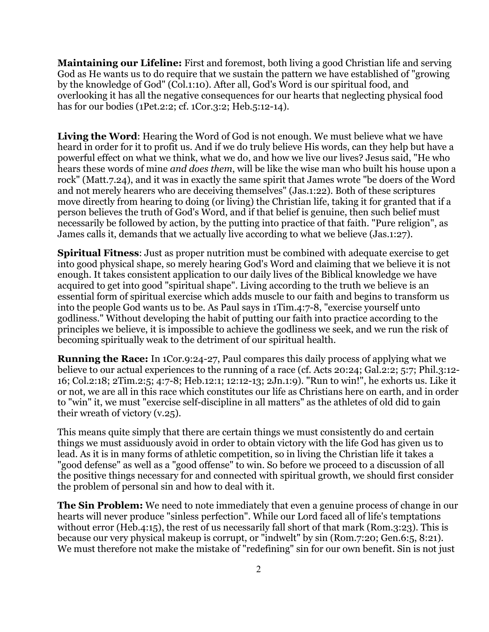**Maintaining our Lifeline:** First and foremost, both living a good Christian life and serving God as He wants us to do require that we sustain the pattern we have established of "growing by the knowledge of God" (Col.1:10). After all, God's Word is our spiritual food, and overlooking it has all the negative consequences for our hearts that neglecting physical food has for our bodies (1Pet.2:2; cf. 1Cor.3:2; Heb.5:12-14).

**Living the Word**: Hearing the Word of God is not enough. We must believe what we have heard in order for it to profit us. And if we do truly believe His words, can they help but have a powerful effect on what we think, what we do, and how we live our lives? Jesus said, "He who hears these words of mine *and does them*, will be like the wise man who built his house upon a rock" (Matt.7.24), and it was in exactly the same spirit that James wrote "be doers of the Word and not merely hearers who are deceiving themselves" (Jas.1:22). Both of these scriptures move directly from hearing to doing (or living) the Christian life, taking it for granted that if a person believes the truth of God's Word, and if that belief is genuine, then such belief must necessarily be followed by action, by the putting into practice of that faith. "Pure religion", as James calls it, demands that we actually live according to what we believe (Jas.1:27).

**Spiritual Fitness**: Just as proper nutrition must be combined with adequate exercise to get into good physical shape, so merely hearing God's Word and claiming that we believe it is not enough. It takes consistent application to our daily lives of the Biblical knowledge we have acquired to get into good "spiritual shape". Living according to the truth we believe is an essential form of spiritual exercise which adds muscle to our faith and begins to transform us into the people God wants us to be. As Paul says in 1Tim.4:7-8, "exercise yourself unto godliness." Without developing the habit of putting our faith into practice according to the principles we believe, it is impossible to achieve the godliness we seek, and we run the risk of becoming spiritually weak to the detriment of our spiritual health.

**Running the Race:** In 1Cor.9:24-27, Paul compares this daily process of applying what we believe to our actual experiences to the running of a race (cf. Acts 20:24; Gal.2:2; 5:7; Phil.3:12- 16; Col.2:18; 2Tim.2:5; 4:7-8; Heb.12:1; 12:12-13; 2Jn.1:9). "Run to win!", he exhorts us. Like it or not, we are all in this race which constitutes our life as Christians here on earth, and in order to "win" it, we must "exercise self-discipline in all matters" as the athletes of old did to gain their wreath of victory (v.25).

This means quite simply that there are certain things we must consistently do and certain things we must assiduously avoid in order to obtain victory with the life God has given us to lead. As it is in many forms of athletic competition, so in living the Christian life it takes a "good defense" as well as a "good offense" to win. So before we proceed to a discussion of all the positive things necessary for and connected with spiritual growth, we should first consider the problem of personal sin and how to deal with it.

**The Sin Problem:** We need to note immediately that even a genuine process of change in our hearts will never produce "sinless perfection". While our Lord faced all of life's temptations without error (Heb.4:15), the rest of us necessarily fall short of that mark (Rom.3:23). This is because our very physical makeup is corrupt, or "indwelt" by sin (Rom.7:20; Gen.6:5, 8:21). We must therefore not make the mistake of "redefining" sin for our own benefit. Sin is not just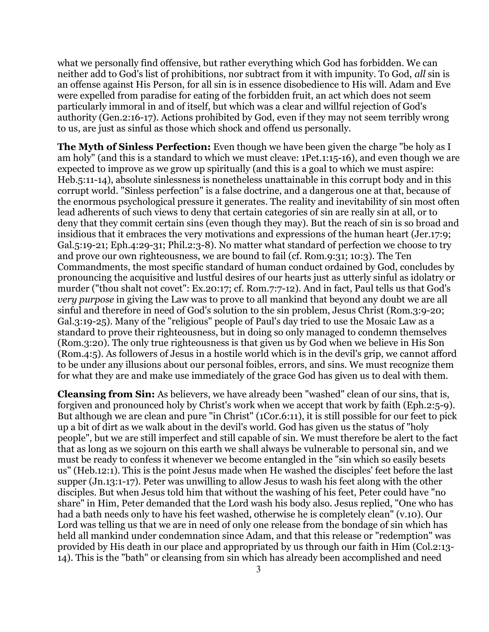what we personally find offensive, but rather everything which God has forbidden. We can neither add to God's list of prohibitions, nor subtract from it with impunity. To God, *all* sin is an offense against His Person, for all sin is in essence disobedience to His will. Adam and Eve were expelled from paradise for eating of the forbidden fruit, an act which does not seem particularly immoral in and of itself, but which was a clear and willful rejection of God's authority (Gen.2:16-17). Actions prohibited by God, even if they may not seem terribly wrong to us, are just as sinful as those which shock and offend us personally.

**The Myth of Sinless Perfection:** Even though we have been given the charge "be holy as I am holy" (and this is a standard to which we must cleave: 1Pet.1:15-16), and even though we are expected to improve as we grow up spiritually (and this is a goal to which we must aspire: Heb.5:11-14), absolute sinlessness is nonetheless unattainable in this corrupt body and in this corrupt world. "Sinless perfection" is a false doctrine, and a dangerous one at that, because of the enormous psychological pressure it generates. The reality and inevitability of sin most often lead adherents of such views to deny that certain categories of sin are really sin at all, or to deny that they commit certain sins (even though they may). But the reach of sin is so broad and insidious that it embraces the very motivations and expressions of the human heart (Jer.17:9; Gal.5:19-21; Eph.4:29-31; Phil.2:3-8). No matter what standard of perfection we choose to try and prove our own righteousness, we are bound to fail (cf. Rom.9:31; 10:3). The Ten Commandments, the most specific standard of human conduct ordained by God, concludes by pronouncing the acquisitive and lustful desires of our hearts just as utterly sinful as idolatry or murder ("thou shalt not covet": Ex.20:17; cf. Rom.7:7-12). And in fact, Paul tells us that God's *very purpose* in giving the Law was to prove to all mankind that beyond any doubt we are all sinful and therefore in need of God's solution to the sin problem, Jesus Christ (Rom.3:9-20; Gal.3:19-25). Many of the "religious" people of Paul's day tried to use the Mosaic Law as a standard to prove their righteousness, but in doing so only managed to condemn themselves (Rom.3:20). The only true righteousness is that given us by God when we believe in His Son (Rom.4:5). As followers of Jesus in a hostile world which is in the devil's grip, we cannot afford to be under any illusions about our personal foibles, errors, and sins. We must recognize them for what they are and make use immediately of the grace God has given us to deal with them.

**Cleansing from Sin:** As believers, we have already been "washed" clean of our sins, that is, forgiven and pronounced holy by Christ's work when we accept that work by faith (Eph.2:5-9). But although we are clean and pure "in Christ" (1Cor.6:11), it is still possible for our feet to pick up a bit of dirt as we walk about in the devil's world. God has given us the status of "holy people", but we are still imperfect and still capable of sin. We must therefore be alert to the fact that as long as we sojourn on this earth we shall always be vulnerable to personal sin, and we must be ready to confess it whenever we become entangled in the "sin which so easily besets us" (Heb.12:1). This is the point Jesus made when He washed the disciples' feet before the last supper (Jn.13:1-17). Peter was unwilling to allow Jesus to wash his feet along with the other disciples. But when Jesus told him that without the washing of his feet, Peter could have "no share" in Him, Peter demanded that the Lord wash his body also. Jesus replied, "One who has had a bath needs only to have his feet washed, otherwise he is completely clean" (v.10). Our Lord was telling us that we are in need of only one release from the bondage of sin which has held all mankind under condemnation since Adam, and that this release or "redemption" was provided by His death in our place and appropriated by us through our faith in Him (Col.2:13- 14). This is the "bath" or cleansing from sin which has already been accomplished and need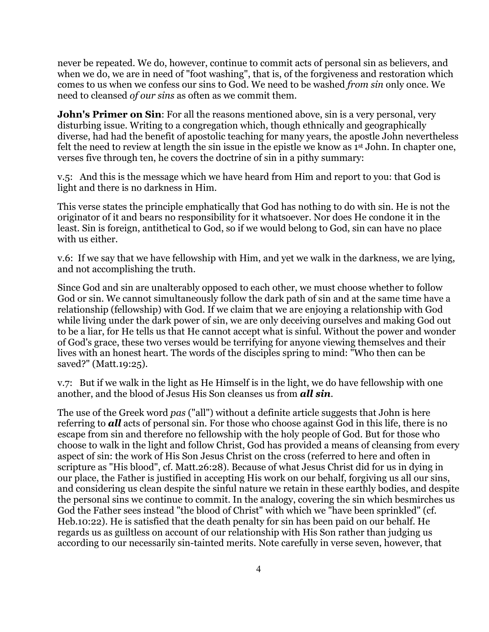never be repeated. We do, however, continue to commit acts of personal sin as believers, and when we do, we are in need of "foot washing", that is, of the forgiveness and restoration which comes to us when we confess our sins to God. We need to be washed *from sin* only once. We need to cleansed *of our sins* as often as we commit them.

**John's Primer on Sin:** For all the reasons mentioned above, sin is a very personal, very disturbing issue. Writing to a congregation which, though ethnically and geographically diverse, had had the benefit of apostolic teaching for many years, the apostle John nevertheless felt the need to review at length the sin issue in the epistle we know as 1<sup>st</sup> John. In chapter one, verses five through ten, he covers the doctrine of sin in a pithy summary:

v.5: And this is the message which we have heard from Him and report to you: that God is light and there is no darkness in Him.

This verse states the principle emphatically that God has nothing to do with sin. He is not the originator of it and bears no responsibility for it whatsoever. Nor does He condone it in the least. Sin is foreign, antithetical to God, so if we would belong to God, sin can have no place with us either.

v.6:If we say that we have fellowship with Him, and yet we walk in the darkness, we are lying, and not accomplishing the truth.

Since God and sin are unalterably opposed to each other, we must choose whether to follow God or sin. We cannot simultaneously follow the dark path of sin and at the same time have a relationship (fellowship) with God. If we claim that we are enjoying a relationship with God while living under the dark power of sin, we are only deceiving ourselves and making God out to be a liar, for He tells us that He cannot accept what is sinful. Without the power and wonder of God's grace, these two verses would be terrifying for anyone viewing themselves and their lives with an honest heart. The words of the disciples spring to mind: "Who then can be saved?" (Matt.19:25).

v.7:But if we walk in the light as He Himself is in the light, we do have fellowship with one another, and the blood of Jesus His Son cleanses us from *all sin*.

The use of the Greek word *pas* ("all") without a definite article suggests that John is here referring to *all* acts of personal sin. For those who choose against God in this life, there is no escape from sin and therefore no fellowship with the holy people of God. But for those who choose to walk in the light and follow Christ, God has provided a means of cleansing from every aspect of sin: the work of His Son Jesus Christ on the cross (referred to here and often in scripture as "His blood", cf. Matt.26:28). Because of what Jesus Christ did for us in dying in our place, the Father is justified in accepting His work on our behalf, forgiving us all our sins, and considering us clean despite the sinful nature we retain in these earthly bodies, and despite the personal sins we continue to commit. In the analogy, covering the sin which besmirches us God the Father sees instead "the blood of Christ" with which we "have been sprinkled" (cf. Heb.10:22). He is satisfied that the death penalty for sin has been paid on our behalf. He regards us as guiltless on account of our relationship with His Son rather than judging us according to our necessarily sin-tainted merits. Note carefully in verse seven, however, that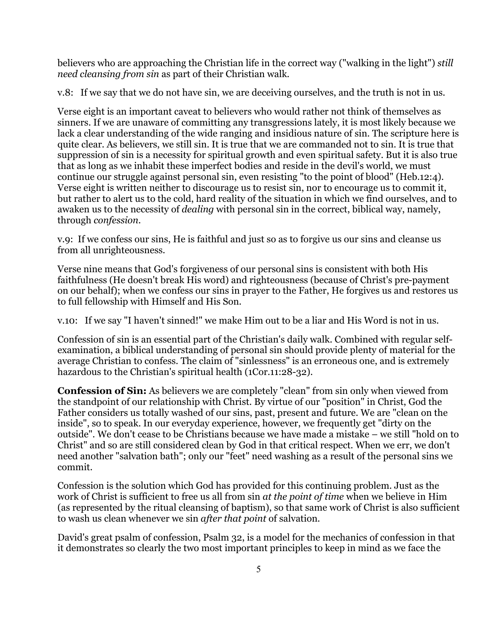believers who are approaching the Christian life in the correct way ("walking in the light") *still need cleansing from sin* as part of their Christian walk.

v.8:If we say that we do not have sin, we are deceiving ourselves, and the truth is not in us.

Verse eight is an important caveat to believers who would rather not think of themselves as sinners. If we are unaware of committing any transgressions lately, it is most likely because we lack a clear understanding of the wide ranging and insidious nature of sin. The scripture here is quite clear. As believers, we still sin. It is true that we are commanded not to sin. It is true that suppression of sin is a necessity for spiritual growth and even spiritual safety. But it is also true that as long as we inhabit these imperfect bodies and reside in the devil's world, we must continue our struggle against personal sin, even resisting "to the point of blood" (Heb.12:4). Verse eight is written neither to discourage us to resist sin, nor to encourage us to commit it, but rather to alert us to the cold, hard reality of the situation in which we find ourselves, and to awaken us to the necessity of *dealing* with personal sin in the correct, biblical way, namely, through *confession.*

v.9:If we confess our sins, He is faithful and just so as to forgive us our sins and cleanse us from all unrighteousness.

Verse nine means that God's forgiveness of our personal sins is consistent with both His faithfulness (He doesn't break His word) and righteousness (because of Christ's pre-payment on our behalf); when we confess our sins in prayer to the Father, He forgives us and restores us to full fellowship with Himself and His Son.

v.10:If we say "I haven't sinned!" we make Him out to be a liar and His Word is not in us.

Confession of sin is an essential part of the Christian's daily walk. Combined with regular selfexamination, a biblical understanding of personal sin should provide plenty of material for the average Christian to confess. The claim of "sinlessness" is an erroneous one, and is extremely hazardous to the Christian's spiritual health (1Cor.11:28-32).

**Confession of Sin:** As believers we are completely "clean" from sin only when viewed from the standpoint of our relationship with Christ. By virtue of our "position" in Christ, God the Father considers us totally washed of our sins, past, present and future. We are "clean on the inside", so to speak. In our everyday experience, however, we frequently get "dirty on the outside". We don't cease to be Christians because we have made a mistake – we still "hold on to Christ" and so are still considered clean by God in that critical respect. When we err, we don't need another "salvation bath"; only our "feet" need washing as a result of the personal sins we commit.

Confession is the solution which God has provided for this continuing problem. Just as the work of Christ is sufficient to free us all from sin *at the point of time* when we believe in Him (as represented by the ritual cleansing of baptism), so that same work of Christ is also sufficient to wash us clean whenever we sin *after that point* of salvation.

David's great psalm of confession, Psalm 32, is a model for the mechanics of confession in that it demonstrates so clearly the two most important principles to keep in mind as we face the